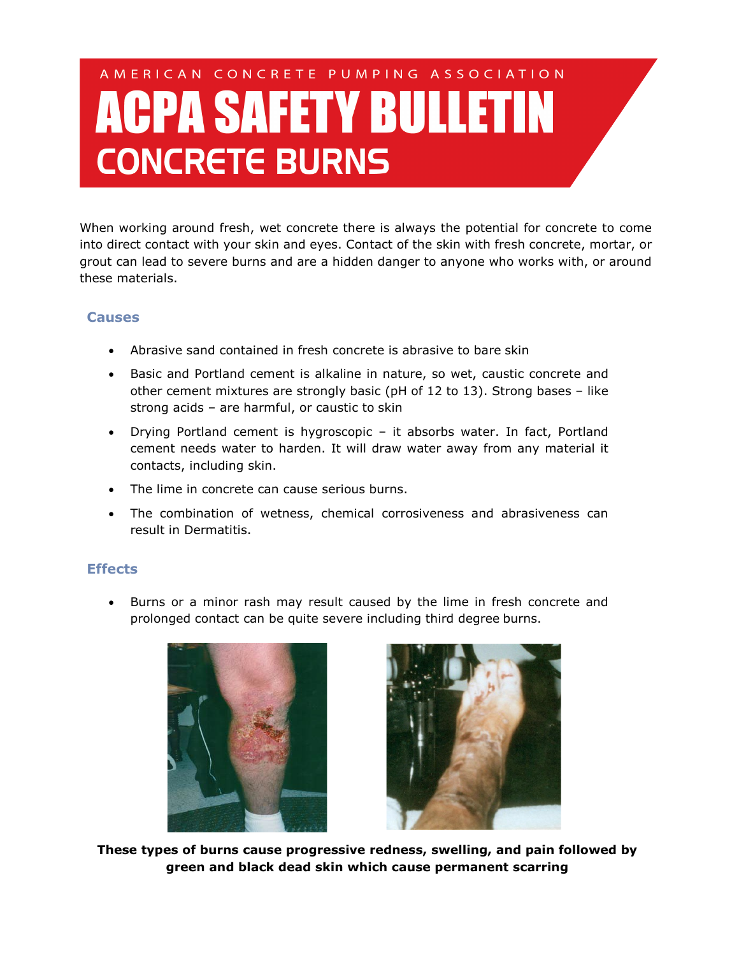# AMERICAN CONCRETE PUMPING ASSOCIATION **ACPA SAFETY BULLETIN CONCRETE BURNS**

When working around fresh, wet concrete there is always the potential for concrete to come into direct contact with your skin and eyes. Contact of the skin with fresh concrete, mortar, or grout can lead to severe burns and are a hidden danger to anyone who works with, or around these materials.

## **Causes**

- Abrasive sand contained in fresh concrete is abrasive to bare skin
- Basic and Portland cement is alkaline in nature, so wet, caustic concrete and other cement mixtures are strongly basic (pH of 12 to 13). Strong bases – like strong acids – are harmful, or caustic to skin
- Drying Portland cement is hygroscopic it absorbs water. In fact, Portland cement needs water to harden. It will draw water away from any material it contacts, including skin.
- The lime in concrete can cause serious burns.
- The combination of wetness, chemical corrosiveness and abrasiveness can result in Dermatitis.

### **Effects**

• Burns or a minor rash may result caused by the lime in fresh concrete and prolonged contact can be quite severe including third degree burns.





**These types of burns cause progressive redness, swelling, and pain followed by green and black dead skin which cause permanent scarring**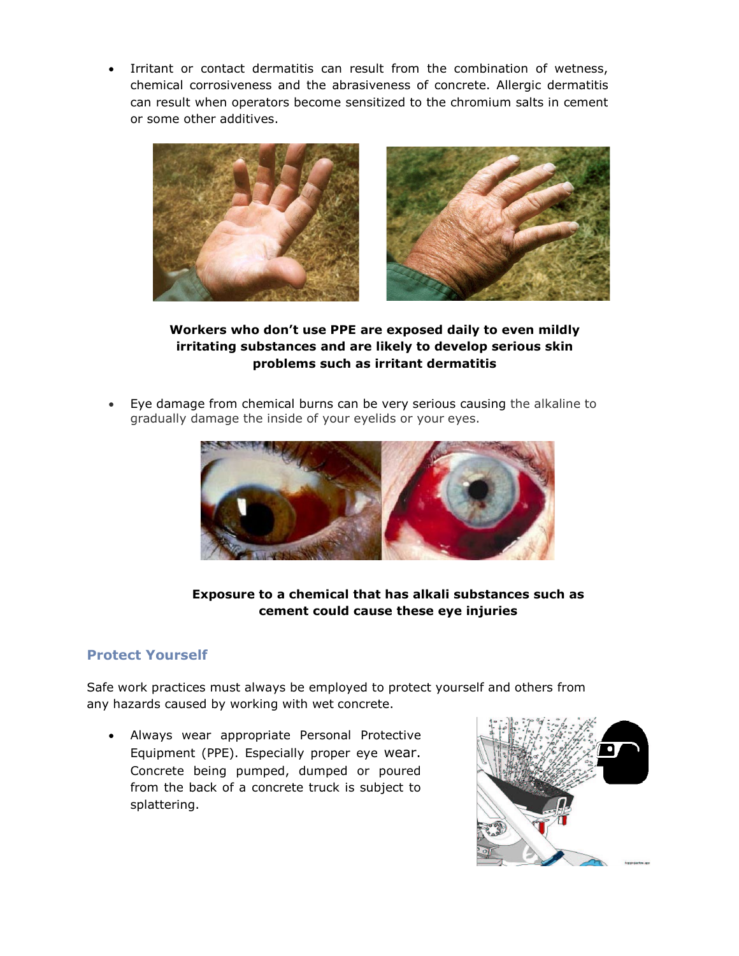Irritant or contact dermatitis can result from the combination of wetness, chemical corrosiveness and the abrasiveness of concrete. Allergic dermatitis can result when operators become sensitized to the chromium salts in cement or some other additives.



**Workers who don't use PPE are exposed daily to even mildly irritating substances and are likely to develop serious skin problems such as irritant dermatitis**

• Eye damage from chemical burns can be very serious causing the alkaline to gradually damage the inside of your eyelids or your eyes.



#### **Exposure to a chemical that has alkali substances such as cement could cause these eye injuries**

### **Protect Yourself**

Safe work practices must always be employed to protect yourself and others from any hazards caused by working with wet concrete.

• Always wear appropriate Personal Protective Equipment (PPE). Especially proper eye wear. Concrete being pumped, dumped or poured from the back of a concrete truck is subject to splattering.

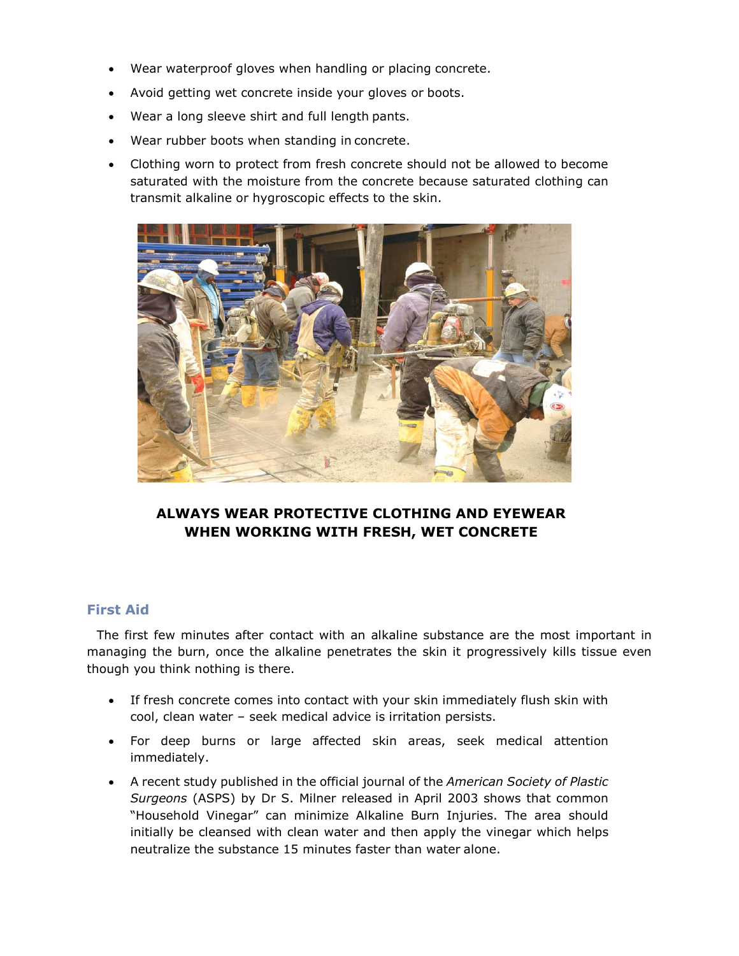- Wear waterproof gloves when handling or placing concrete.
- Avoid getting wet concrete inside your gloves or boots.
- Wear a long sleeve shirt and full length pants.
- Wear rubber boots when standing in concrete.
- Clothing worn to protect from fresh concrete should not be allowed to become saturated with the moisture from the concrete because saturated clothing can transmit alkaline or hygroscopic effects to the skin.



## **ALWAYS WEAR PROTECTIVE CLOTHING AND EYEWEAR WHEN WORKING WITH FRESH, WET CONCRETE**

#### **First Aid**

The first few minutes after contact with an alkaline substance are the most important in managing the burn, once the alkaline penetrates the skin it progressively kills tissue even though you think nothing is there.

- If fresh concrete comes into contact with your skin immediately flush skin with cool, clean water – seek medical advice is irritation persists.
- For deep burns or large affected skin areas, seek medical attention immediately.
- A recent study published in the official journal of the *American Society of Plastic Surgeons* (ASPS) by Dr S. Milner released in April 2003 shows that common "Household Vinegar" can minimize Alkaline Burn Injuries. The area should initially be cleansed with clean water and then apply the vinegar which helps neutralize the substance 15 minutes faster than water alone.